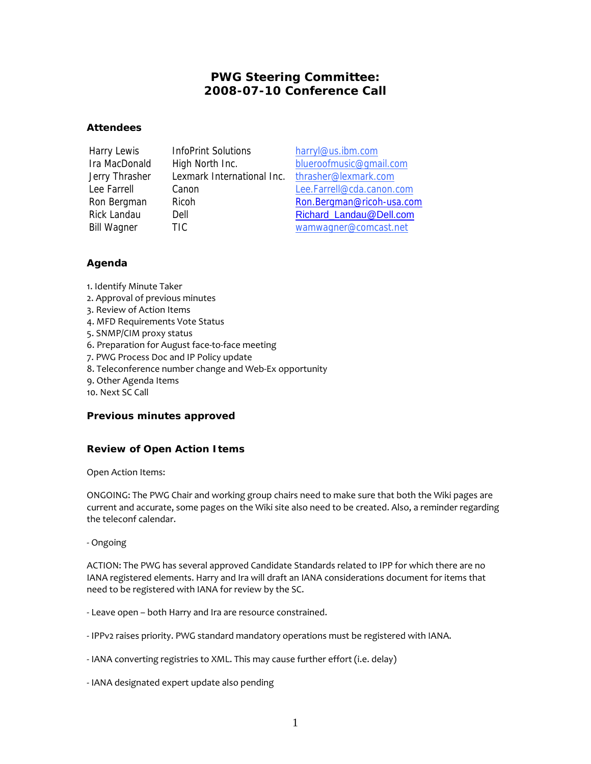# **PWG Steering Committee: 2008-07-10 Conference Call**

### **Attendees**

Harry Lewis InfoPrint Solutions harryl@us.ibm.com Jerry Thrasher Lexmark International Inc. thrasher@lexmark.com

Ira MacDonald High North Inc. blueroofmusic@gmail.com Lee Farrell Canon Lee.Farrell@cda.canon.com Ron Bergman Ricoh Ron.Bergman@ricoh-usa.com Rick Landau Dell Dell Richard Landau@Dell.com Bill Wagner TIC wamwagner@comcast.net

## **Agenda**

- 1. Identify Minute Taker
- 2. Approval of previous minutes
- 3. Review of Action Items
- 4. MFD Requirements Vote Status
- 5. SNMP/CIM proxy status
- 6. Preparation for August face-to-face meeting
- 7. PWG Process Doc and IP Policy update
- 8. Teleconference number change and Web-Ex opportunity
- 9. Other Agenda Items
- 10. Next SC Call

### **Previous minutes approved**

## **Review of Open Action Items**

Open Action Items:

ONGOING: The PWG Chair and working group chairs need to make sure that both the Wiki pages are current and accurate, some pages on the Wiki site also need to be created. Also, a reminder regarding the teleconf calendar.

- Ongoing

ACTION: The PWG has several approved Candidate Standards related to IPP for which there are no IANA registered elements. Harry and Ira will draft an IANA considerations document for items that need to be registered with IANA for review by the SC.

- Leave open both Harry and Ira are resource constrained.
- IPPv2 raises priority. PWG standard mandatory operations must be registered with IANA.
- IANA converting registries to XML. This may cause further effort (i.e. delay)
- IANA designated expert update also pending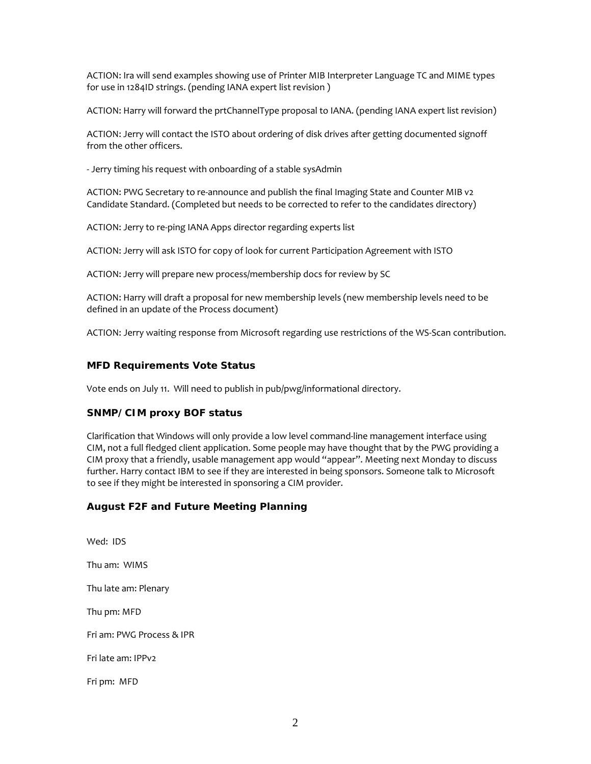ACTION: Ira will send examples showing use of Printer MIB Interpreter Language TC and MIME types for use in 1284ID strings. (pending IANA expert list revision )

ACTION: Harry will forward the prtChannelType proposal to IANA. (pending IANA expert list revision)

ACTION: Jerry will contact the ISTO about ordering of disk drives after getting documented signoff from the other officers.

- Jerry timing his request with onboarding of a stable sysAdmin

ACTION: PWG Secretary to re-announce and publish the final Imaging State and Counter MIB v2 Candidate Standard. (Completed but needs to be corrected to refer to the candidates directory)

ACTION: Jerry to re-ping IANA Apps director regarding experts list

ACTION: Jerry will ask ISTO for copy of look for current Participation Agreement with ISTO

ACTION: Jerry will prepare new process/membership docs for review by SC

ACTION: Harry will draft a proposal for new membership levels (new membership levels need to be defined in an update of the Process document)

ACTION: Jerry waiting response from Microsoft regarding use restrictions of the WS-Scan contribution.

### **MFD Requirements Vote Status**

Vote ends on July 11. Will need to publish in pub/pwg/informational directory.

### **SNMP/CIM proxy BOF status**

Clarification that Windows will only provide a low level command-line management interface using CIM, not a full fledged client application. Some people may have thought that by the PWG providing a CIM proxy that a friendly, usable management app would "appear". Meeting next Monday to discuss further. Harry contact IBM to see if they are interested in being sponsors. Someone talk to Microsoft to see if they might be interested in sponsoring a CIM provider.

## **August F2F and Future Meeting Planning**

Wed: IDS Thu am: WIMS Thu late am: Plenary Thu pm: MFD Fri am: PWG Process & IPR Fri late am: IPPv2 Fri pm: MFD